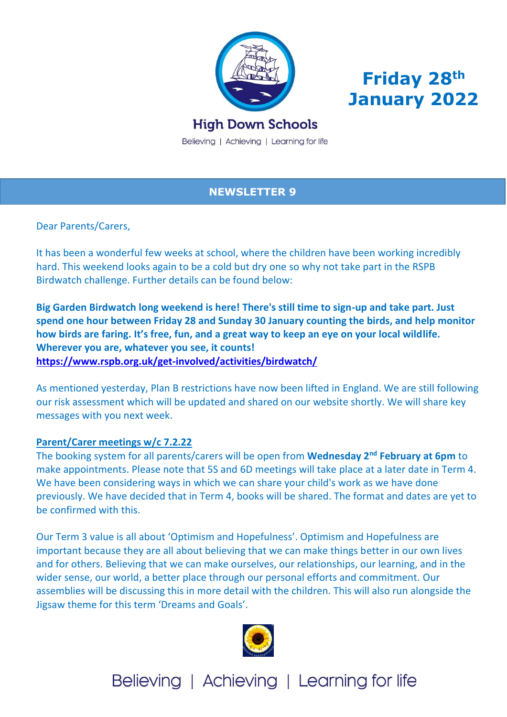



# **High Down Schools**

Believing | Achieving | Learning for life

# **NEWSLETTER 9**

Dear Parents/Carers,

It has been a wonderful few weeks at school, where the children have been working incredibly hard. This weekend looks again to be a cold but dry one so why not take part in the RSPB Birdwatch challenge. Further details can be found below:

**Big Garden Birdwatch long weekend is here! There's still time to sign-up and take part. Just spend one hour between Friday 28 and Sunday 30 January counting the birds, and help monitor how birds are faring. It's free, fun, and a great way to keep an eye on your local wildlife. Wherever you are, whatever you see, it counts! <https://www.rspb.org.uk/get-involved/activities/birdwatch/>**

As mentioned yesterday, Plan B restrictions have now been lifted in England. We are still following our risk assessment which will be updated and shared on our website shortly. We will share key messages with you next week.

#### **Parent/Carer meetings w/c 7.2.22**

The booking system for all parents/carers will be open from **Wednesday 2nd February at 6pm** to make appointments. Please note that 5S and 6D meetings will take place at a later date in Term 4. We have been considering ways in which we can share your child's work as we have done previously. We have decided that in Term 4, books will be shared. The format and dates are yet to be confirmed with this.

Our Term 3 value is all about 'Optimism and Hopefulness'. Optimism and Hopefulness are important because they are all about believing that we can make things better in our own lives and for others. Believing that we can make ourselves, our relationships, our learning, and in the wider sense, our world, a better place through our personal efforts and commitment. Our assemblies will be discussing this in more detail with the children. This will also run alongside the Jigsaw theme for this term 'Dreams and Goals'.



Believing | Achieving | Learning for life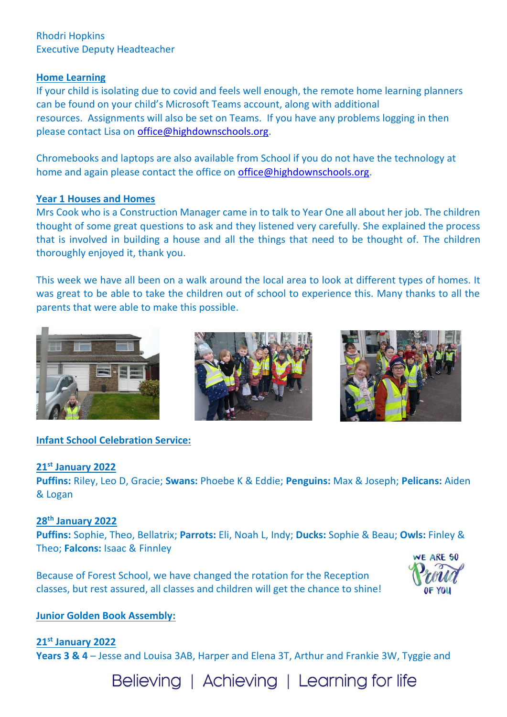# Rhodri Hopkins Executive Deputy Headteacher

## **Home Learning**

If your child is isolating due to covid and feels well enough, the remote home learning planners can be found on your child's Microsoft Teams account, along with additional resources. Assignments will also be set on Teams. If you have any problems logging in then please contact Lisa on [office@highdownschools.org.](mailto:office@highdownschools.org)

Chromebooks and laptops are also available from School if you do not have the technology at home and again please contact the office on [office@highdownschools.org.](mailto:office@highdownschools.org)

#### **Year 1 Houses and Homes**

Mrs Cook who is a Construction Manager came in to talk to Year One all about her job. The children thought of some great questions to ask and they listened very carefully. She explained the process that is involved in building a house and all the things that need to be thought of. The children thoroughly enjoyed it, thank you.

This week we have all been on a walk around the local area to look at different types of homes. It was great to be able to take the children out of school to experience this. Many thanks to all the parents that were able to make this possible.







#### **Infant School Celebration Service:**

#### **21st January 2022**

**Puffins:** Riley, Leo D, Gracie; **Swans:** Phoebe K & Eddie; **Penguins:** Max & Joseph; **Pelicans:** Aiden & Logan

## **28th January 2022**

**Puffins:** Sophie, Theo, Bellatrix; **Parrots:** Eli, Noah L, Indy; **Ducks:** Sophie & Beau; **Owls:** Finley & Theo; **Falcons:** Isaac & Finnley

Because of Forest School, we have changed the rotation for the Reception classes, but rest assured, all classes and children will get the chance to shine!



# **Junior Golden Book Assembly:**

**21st January 2022 Years 3 & 4** – Jesse and Louisa 3AB, Harper and Elena 3T, Arthur and Frankie 3W, Tyggie and

Believing | Achieving | Learning for life